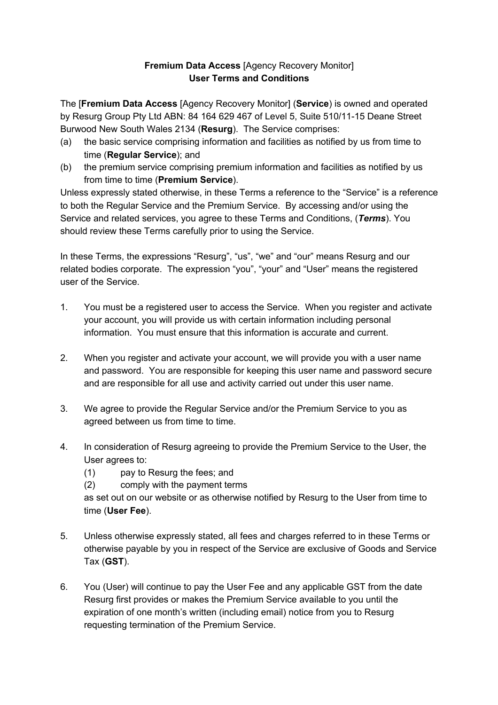## **Fremium Data Access** [Agency Recovery Monitor] **User Terms and Conditions**

The [**Fremium Data Access** [Agency Recovery Monitor] (**Service**) is owned and operated by Resurg Group Pty Ltd ABN: 84 164 629 467 of Level 5, Suite 510/11-15 Deane Street Burwood New South Wales 2134 (**Resurg**). The Service comprises:

- (a) the basic service comprising information and facilities as notified by us from time to time (**Regular Service**); and
- (b) the premium service comprising premium information and facilities as notified by us from time to time (**Premium Service**).

Unless expressly stated otherwise, in these Terms a reference to the "Service" is a reference to both the Regular Service and the Premium Service. By accessing and/or using the Service and related services, you agree to these Terms and Conditions, (*Terms*). You should review these Terms carefully prior to using the Service.

In these Terms, the expressions "Resurg", "us", "we" and "our" means Resurg and our related bodies corporate. The expression "you", "your" and "User" means the registered user of the Service.

- 1. You must be a registered user to access the Service. When you register and activate your account, you will provide us with certain information including personal information. You must ensure that this information is accurate and current.
- 2. When you register and activate your account, we will provide you with a user name and password. You are responsible for keeping this user name and password secure and are responsible for all use and activity carried out under this user name.
- 3. We agree to provide the Regular Service and/or the Premium Service to you as agreed between us from time to time.
- 4. In consideration of Resurg agreeing to provide the Premium Service to the User, the User agrees to:
	- (1) pay to Resurg the fees; and
	- (2) comply with the payment terms

as set out on our website or as otherwise notified by Resurg to the User from time to time (**User Fee**).

- 5. Unless otherwise expressly stated, all fees and charges referred to in these Terms or otherwise payable by you in respect of the Service are exclusive of Goods and Service Tax (**GST**).
- 6. You (User) will continue to pay the User Fee and any applicable GST from the date Resurg first provides or makes the Premium Service available to you until the expiration of one month's written (including email) notice from you to Resurg requesting termination of the Premium Service.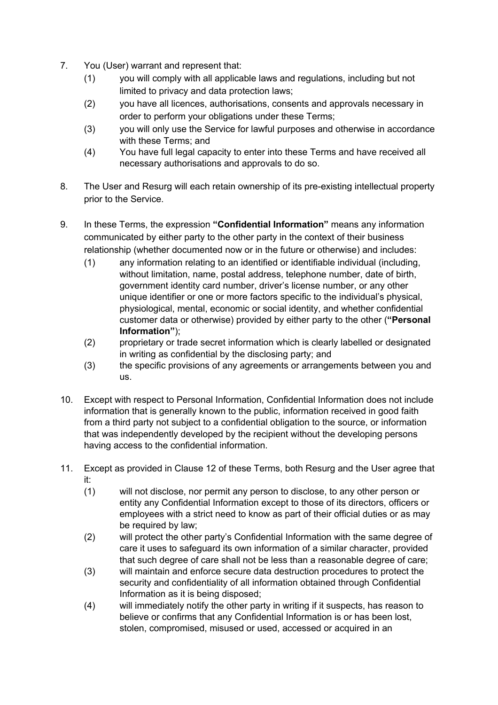- 7. You (User) warrant and represent that:
	- (1) you will comply with all applicable laws and regulations, including but not limited to privacy and data protection laws;
	- (2) you have all licences, authorisations, consents and approvals necessary in order to perform your obligations under these Terms;
	- (3) you will only use the Service for lawful purposes and otherwise in accordance with these Terms; and
	- (4) You have full legal capacity to enter into these Terms and have received all necessary authorisations and approvals to do so.
- 8. The User and Resurg will each retain ownership of its pre-existing intellectual property prior to the Service.
- 9. In these Terms, the expression **"Confidential Information"** means any information communicated by either party to the other party in the context of their business relationship (whether documented now or in the future or otherwise) and includes:
	- (1) any information relating to an identified or identifiable individual (including, without limitation, name, postal address, telephone number, date of birth, government identity card number, driver's license number, or any other unique identifier or one or more factors specific to the individual's physical, physiological, mental, economic or social identity, and whether confidential customer data or otherwise) provided by either party to the other (**"Personal Information"**);
	- (2) proprietary or trade secret information which is clearly labelled or designated in writing as confidential by the disclosing party; and
	- (3) the specific provisions of any agreements or arrangements between you and us.
- 10. Except with respect to Personal Information, Confidential Information does not include information that is generally known to the public, information received in good faith from a third party not subject to a confidential obligation to the source, or information that was independently developed by the recipient without the developing persons having access to the confidential information.
- 11. Except as provided in Clause 12 of these Terms, both Resurg and the User agree that it:
	- (1) will not disclose, nor permit any person to disclose, to any other person or entity any Confidential Information except to those of its directors, officers or employees with a strict need to know as part of their official duties or as may be required by law;
	- (2) will protect the other party's Confidential Information with the same degree of care it uses to safeguard its own information of a similar character, provided that such degree of care shall not be less than a reasonable degree of care;
	- (3) will maintain and enforce secure data destruction procedures to protect the security and confidentiality of all information obtained through Confidential Information as it is being disposed;
	- (4) will immediately notify the other party in writing if it suspects, has reason to believe or confirms that any Confidential Information is or has been lost, stolen, compromised, misused or used, accessed or acquired in an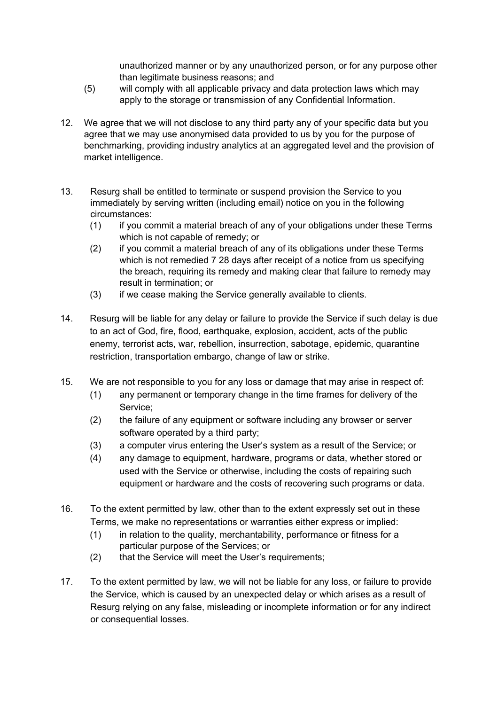unauthorized manner or by any unauthorized person, or for any purpose other than legitimate business reasons; and

- (5) will comply with all applicable privacy and data protection laws which may apply to the storage or transmission of any Confidential Information.
- 12. We agree that we will not disclose to any third party any of your specific data but you agree that we may use anonymised data provided to us by you for the purpose of benchmarking, providing industry analytics at an aggregated level and the provision of market intelligence.
- 13. Resurg shall be entitled to terminate or suspend provision the Service to you immediately by serving written (including email) notice on you in the following circumstances:
	- (1) if you commit a material breach of any of your obligations under these Terms which is not capable of remedy; or
	- (2) if you commit a material breach of any of its obligations under these Terms which is not remedied 7 28 days after receipt of a notice from us specifying the breach, requiring its remedy and making clear that failure to remedy may result in termination; or
	- (3) if we cease making the Service generally available to clients.
- 14. Resurg will be liable for any delay or failure to provide the Service if such delay is due to an act of God, fire, flood, earthquake, explosion, accident, acts of the public enemy, terrorist acts, war, rebellion, insurrection, sabotage, epidemic, quarantine restriction, transportation embargo, change of law or strike.
- 15. We are not responsible to you for any loss or damage that may arise in respect of:
	- (1) any permanent or temporary change in the time frames for delivery of the Service;
	- (2) the failure of any equipment or software including any browser or server software operated by a third party;
	- (3) a computer virus entering the User's system as a result of the Service; or
	- (4) any damage to equipment, hardware, programs or data, whether stored or used with the Service or otherwise, including the costs of repairing such equipment or hardware and the costs of recovering such programs or data.
- 16. To the extent permitted by law, other than to the extent expressly set out in these Terms, we make no representations or warranties either express or implied:
	- (1) in relation to the quality, merchantability, performance or fitness for a particular purpose of the Services; or
	- (2) that the Service will meet the User's requirements;
- 17. To the extent permitted by law, we will not be liable for any loss, or failure to provide the Service, which is caused by an unexpected delay or which arises as a result of Resurg relying on any false, misleading or incomplete information or for any indirect or consequential losses.